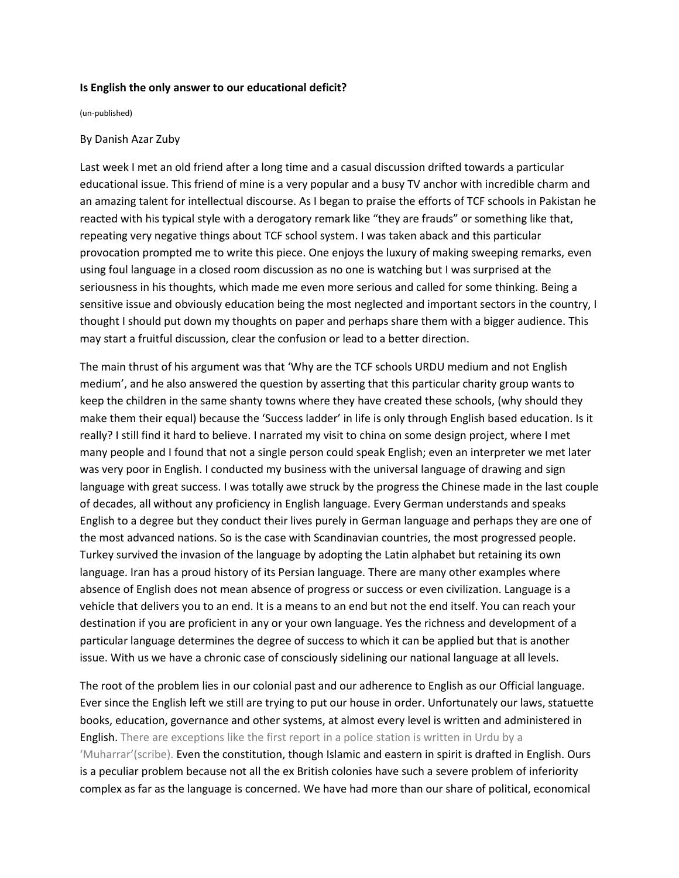## **Is English the only answer to our educational deficit?**

(un-published)

## By Danish Azar Zuby

Last week I met an old friend after a long time and a casual discussion drifted towards a particular educational issue. This friend of mine is a very popular and a busy TV anchor with incredible charm and an amazing talent for intellectual discourse. As I began to praise the efforts of TCF schools in Pakistan he reacted with his typical style with a derogatory remark like "they are frauds" or something like that, repeating very negative things about TCF school system. I was taken aback and this particular provocation prompted me to write this piece. One enjoys the luxury of making sweeping remarks, even using foul language in a closed room discussion as no one is watching but I was surprised at the seriousness in his thoughts, which made me even more serious and called for some thinking. Being a sensitive issue and obviously education being the most neglected and important sectors in the country, I thought I should put down my thoughts on paper and perhaps share them with a bigger audience. This may start a fruitful discussion, clear the confusion or lead to a better direction.

The main thrust of his argument was that 'Why are the TCF schools URDU medium and not English medium', and he also answered the question by asserting that this particular charity group wants to keep the children in the same shanty towns where they have created these schools, (why should they make them their equal) because the 'Success ladder' in life is only through English based education. Is it really? I still find it hard to believe. I narrated my visit to china on some design project, where I met many people and I found that not a single person could speak English; even an interpreter we met later was very poor in English. I conducted my business with the universal language of drawing and sign language with great success. I was totally awe struck by the progress the Chinese made in the last couple of decades, all without any proficiency in English language. Every German understands and speaks English to a degree but they conduct their lives purely in German language and perhaps they are one of the most advanced nations. So is the case with Scandinavian countries, the most progressed people. Turkey survived the invasion of the language by adopting the Latin alphabet but retaining its own language. Iran has a proud history of its Persian language. There are many other examples where absence of English does not mean absence of progress or success or even civilization. Language is a vehicle that delivers you to an end. It is a means to an end but not the end itself. You can reach your destination if you are proficient in any or your own language. Yes the richness and development of a particular language determines the degree of success to which it can be applied but that is another issue. With us we have a chronic case of consciously sidelining our national language at all levels.

The root of the problem lies in our colonial past and our adherence to English as our Official language. Ever since the English left we still are trying to put our house in order. Unfortunately our laws, statuette books, education, governance and other systems, at almost every level is written and administered in English. There are exceptions like the first report in a police station is written in Urdu by a 'Muharrar'(scribe). Even the constitution, though Islamic and eastern in spirit is drafted in English. Ours is a peculiar problem because not all the ex British colonies have such a severe problem of inferiority complex as far as the language is concerned. We have had more than our share of political, economical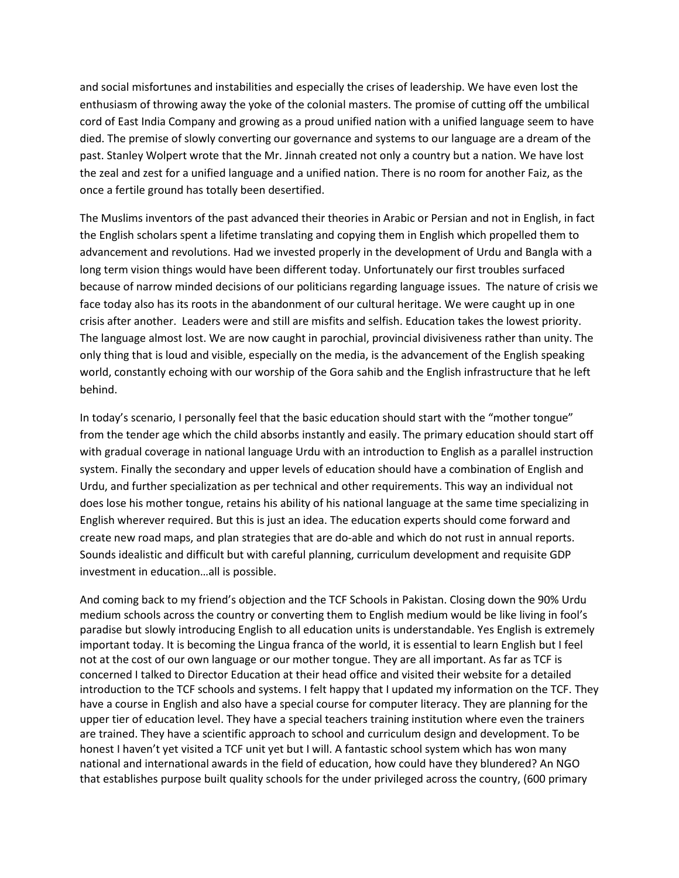and social misfortunes and instabilities and especially the crises of leadership. We have even lost the enthusiasm of throwing away the yoke of the colonial masters. The promise of cutting off the umbilical cord of East India Company and growing as a proud unified nation with a unified language seem to have died. The premise of slowly converting our governance and systems to our language are a dream of the past. Stanley Wolpert wrote that the Mr. Jinnah created not only a country but a nation. We have lost the zeal and zest for a unified language and a unified nation. There is no room for another Faiz, as the once a fertile ground has totally been desertified.

The Muslims inventors of the past advanced their theories in Arabic or Persian and not in English, in fact the English scholars spent a lifetime translating and copying them in English which propelled them to advancement and revolutions. Had we invested properly in the development of Urdu and Bangla with a long term vision things would have been different today. Unfortunately our first troubles surfaced because of narrow minded decisions of our politicians regarding language issues. The nature of crisis we face today also has its roots in the abandonment of our cultural heritage. We were caught up in one crisis after another. Leaders were and still are misfits and selfish. Education takes the lowest priority. The language almost lost. We are now caught in parochial, provincial divisiveness rather than unity. The only thing that is loud and visible, especially on the media, is the advancement of the English speaking world, constantly echoing with our worship of the Gora sahib and the English infrastructure that he left behind.

In today's scenario, I personally feel that the basic education should start with the "mother tongue" from the tender age which the child absorbs instantly and easily. The primary education should start off with gradual coverage in national language Urdu with an introduction to English as a parallel instruction system. Finally the secondary and upper levels of education should have a combination of English and Urdu, and further specialization as per technical and other requirements. This way an individual not does lose his mother tongue, retains his ability of his national language at the same time specializing in English wherever required. But this is just an idea. The education experts should come forward and create new road maps, and plan strategies that are do-able and which do not rust in annual reports. Sounds idealistic and difficult but with careful planning, curriculum development and requisite GDP investment in education…all is possible.

And coming back to my friend's objection and the TCF Schools in Pakistan. Closing down the 90% Urdu medium schools across the country or converting them to English medium would be like living in fool's paradise but slowly introducing English to all education units is understandable. Yes English is extremely important today. It is becoming the Lingua franca of the world, it is essential to learn English but I feel not at the cost of our own language or our mother tongue. They are all important. As far as TCF is concerned I talked to Director Education at their head office and visited their website for a detailed introduction to the TCF schools and systems. I felt happy that I updated my information on the TCF. They have a course in English and also have a special course for computer literacy. They are planning for the upper tier of education level. They have a special teachers training institution where even the trainers are trained. They have a scientific approach to school and curriculum design and development. To be honest I haven't yet visited a TCF unit yet but I will. A fantastic school system which has won many national and international awards in the field of education, how could have they blundered? An NGO that establishes purpose built quality schools for the under privileged across the country, (600 primary